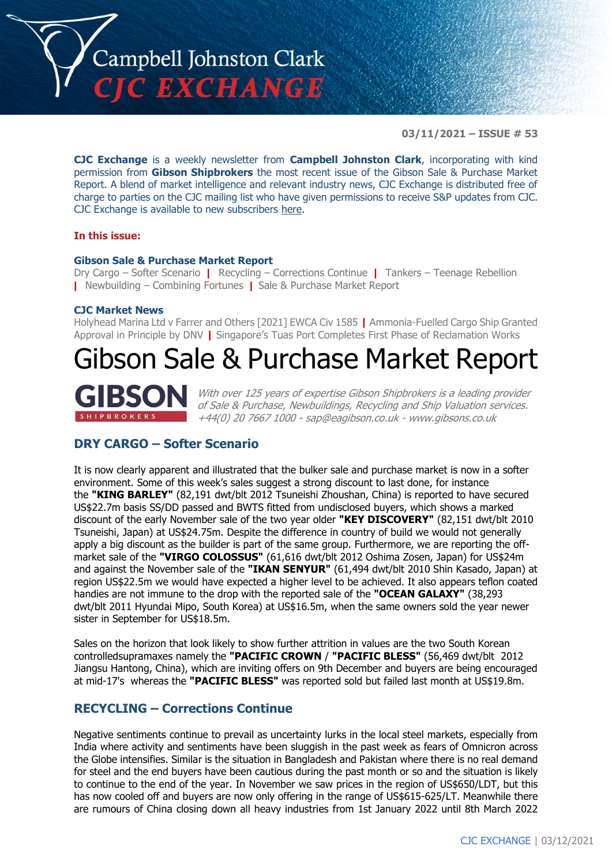

**03/11/2021 – ISSUE # 53**

**CJC Exchange** is a weekly newsletter from **Campbell Johnston Clark**, incorporating with kind permission from **Gibson Shipbrokers** the most recent issue of the Gibson Sale & Purchase Market Report. A blend of market intelligence and relevant industry news, CJC Exchange is distributed free of charge to parties on the CJC mailing list who have given permissions to receive S&P updates from CJC. CJC Exchange is available to new subscribers [here.](mailto:jamesc@cjclaw.com?subject=CJC%20Exchange%20sign-up)

## **In this issue:**

## **Gibson Sale & Purchase Market Report**

Dry Cargo – Softer Scenario **|** Recycling – Corrections Continue **|** Tankers – Teenage Rebellion **|** Newbuilding – Combining Fortunes **|** Sale & Purchase Market Report

#### **CJC Market News**

Holyhead Marina Ltd v Farrer and Others [2021] EWCA Civ 1585 **|** Ammonia-Fuelled Cargo Ship Granted Approval in Principle by DNV **|** Singapore's Tuas Port Completes First Phase of Reclamation Works

# Gibson Sale & Purchase Market Report



With over 125 years of expertise Gibson Shipbrokers is a leading provider of Sale & Purchase, Newbuildings, Recycling and Ship Valuation services. +44(0) 20 7667 1000 - [sap@eagibson.co.uk](mailto:sap@eagibson.co.uk) - [www.gibsons.co.uk](https://protect-eu.mimecast.com/s/VO6nCGZzRS60KqcK1jQh/)

# **DRY CARGO – Softer Scenario**

It is now clearly apparent and illustrated that the bulker sale and purchase market is now in a softer environment. Some of this week's sales suggest a strong discount to last done, for instance the **"KING BARLEY"** (82,191 dwt/blt 2012 Tsuneishi Zhoushan, China) is reported to have secured US\$22.7m basis SS/DD passed and BWTS fitted from undisclosed buyers, which shows a marked discount of the early November sale of the two year older **"KEY DISCOVERY"** (82,151 dwt/blt 2010 Tsuneishi, Japan) at US\$24.75m. Despite the difference in country of build we would not generally apply a big discount as the builder is part of the same group. Furthermore, we are reporting the offmarket sale of the **"VIRGO COLOSSUS"** (61,616 dwt/blt 2012 Oshima Zosen, Japan) for US\$24m and against the November sale of the **"IKAN SENYUR"** (61,494 dwt/blt 2010 Shin Kasado, Japan) at region US\$22.5m we would have expected a higher level to be achieved. It also appears teflon coated handies are not immune to the drop with the reported sale of the **"OCEAN GALAXY"** (38,293 dwt/blt 2011 Hyundai Mipo, South Korea) at US\$16.5m, when the same owners sold the year newer sister in September for US\$18.5m.

Sales on the horizon that look likely to show further attrition in values are the two South Korean controlledsupramaxes namely the **"PACIFIC CROWN** / **"PACIFIC BLESS"** (56,469 dwt/blt 2012 Jiangsu Hantong, China), which are inviting offers on 9th December and buyers are being encouraged at mid-17's whereas the **"PACIFIC BLESS"** was reported sold but failed last month at US\$19.8m.

## **RECYCLING – Corrections Continue**

Negative sentiments continue to prevail as uncertainty lurks in the local steel markets, especially from India where activity and sentiments have been sluggish in the past week as fears of Omnicron across the Globe intensifies. Similar is the situation in Bangladesh and Pakistan where there is no real demand for steel and the end buyers have been cautious during the past month or so and the situation is likely to continue to the end of the year. In November we saw prices in the region of US\$650/LDT, but this has now cooled off and buyers are now only offering in the range of US\$615-625/LT. Meanwhile there are rumours of China closing down all heavy industries from 1st January 2022 until 8th March 2022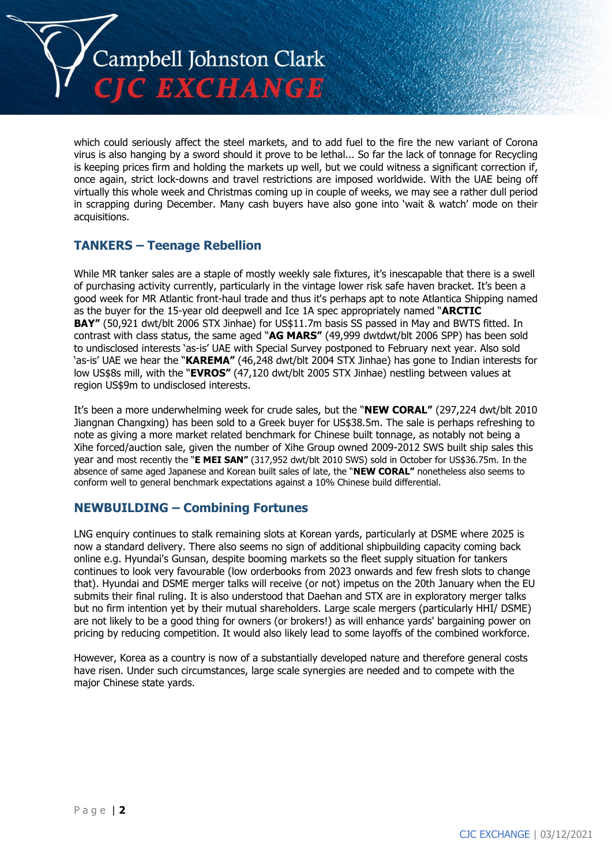

which could seriously affect the steel markets, and to add fuel to the fire the new variant of Corona virus is also hanging by a sword should it prove to be lethal... So far the lack of tonnage for Recycling is keeping prices firm and holding the markets up well, but we could witness a significant correction if, once again, strict lock-downs and travel restrictions are imposed worldwide. With the UAE being off virtually this whole week and Christmas coming up in couple of weeks, we may see a rather dull period in scrapping during December. Many cash buyers have also gone into 'wait & watch' mode on their acquisitions.

# **TANKERS – Teenage Rebellion**

While MR tanker sales are a staple of mostly weekly sale fixtures, it's inescapable that there is a swell of purchasing activity currently, particularly in the vintage lower risk safe haven bracket. It's been a good week for MR Atlantic front-haul trade and thus it's perhaps apt to note Atlantica Shipping named as the buyer for the 15-year old deepwell and Ice 1A spec appropriately named "**ARCTIC BAY"** (50,921 dwt/blt 2006 STX Jinhae) for US\$11.7m basis SS passed in May and BWTS fitted. In contrast with class status, the same aged "**AG MARS"** (49,999 dwtdwt/blt 2006 SPP) has been sold to undisclosed interests 'as-is' UAE with Special Survey postponed to February next year. Also sold 'as-is' UAE we hear the "**KAREMA"** (46,248 dwt/blt 2004 STX Jinhae) has gone to Indian interests for low US\$8s mill, with the "**EVROS"** (47,120 dwt/blt 2005 STX Jinhae) nestling between values at region US\$9m to undisclosed interests.

It's been a more underwhelming week for crude sales, but the "**NEW CORAL"** (297,224 dwt/blt 2010 Jiangnan Changxing) has been sold to a Greek buyer for US\$38.5m. The sale is perhaps refreshing to note as giving a more market related benchmark for Chinese built tonnage, as notably not being a Xihe forced/auction sale, given the number of Xihe Group owned 2009-2012 SWS built ship sales this year and most recently the "**E MEI SAN"** (317,952 dwt/blt 2010 SWS) sold in October for US\$36.75m. In the absence of same aged Japanese and Korean built sales of late, the "**NEW CORAL"** nonetheless also seems to conform well to general benchmark expectations against a 10% Chinese build differential.

## **NEWBUILDING – Combining Fortunes**

LNG enquiry continues to stalk remaining slots at Korean yards, particularly at DSME where 2025 is now a standard delivery. There also seems no sign of additional shipbuilding capacity coming back online e.g. Hyundai's Gunsan, despite booming markets so the fleet supply situation for tankers continues to look very favourable (low orderbooks from 2023 onwards and few fresh slots to change that). Hyundai and DSME merger talks will receive (or not) impetus on the 20th January when the EU submits their final ruling. It is also understood that Daehan and STX are in exploratory merger talks but no firm intention yet by their mutual shareholders. Large scale mergers (particularly HHI/ DSME) are not likely to be a good thing for owners (or brokers!) as will enhance yards' bargaining power on pricing by reducing competition. It would also likely lead to some layoffs of the combined workforce.

However, Korea as a country is now of a substantially developed nature and therefore general costs have risen. Under such circumstances, large scale synergies are needed and to compete with the major Chinese state yards.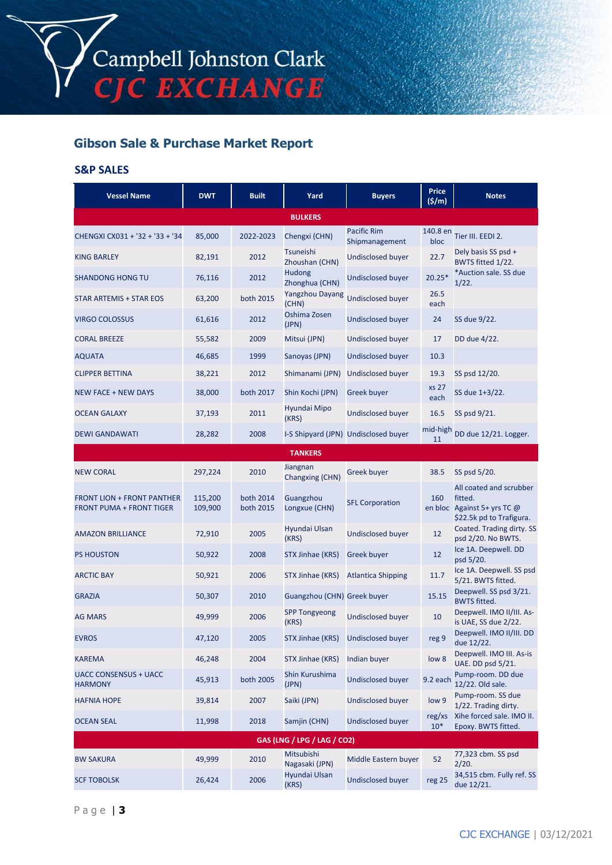# **Gibson Sale & Purchase Market Report**

## **S&P SALES**

| <b>Vessel Name</b>                                                   | <b>DWT</b>         | <b>Built</b>           | Yard                          | <b>Buyers</b>                        | <b>Price</b><br>(5/m) | <b>Notes</b>                                                                                  |
|----------------------------------------------------------------------|--------------------|------------------------|-------------------------------|--------------------------------------|-----------------------|-----------------------------------------------------------------------------------------------|
|                                                                      |                    |                        | <b>BULKERS</b>                |                                      |                       |                                                                                               |
| CHENGXI CX031 + '32 + '33 + '34                                      | 85,000             | 2022-2023              | Chengxi (CHN)                 | Pacific Rim<br>Shipmanagement        | 140.8 en<br>bloc      | Tier III. EEDI 2.                                                                             |
| <b>KING BARLEY</b>                                                   | 82,191             | 2012                   | Tsuneishi<br>Zhoushan (CHN)   | Undisclosed buyer                    | 22.7                  | Dely basis SS psd +<br>BWTS fitted 1/22.                                                      |
| <b>SHANDONG HONG TU</b>                                              | 76,116             | 2012                   | Hudong<br>Zhonghua (CHN)      | Undisclosed buyer                    | $20.25*$              | *Auction sale. SS due<br>1/22.                                                                |
| STAR ARTEMIS + STAR EOS                                              | 63,200             | both 2015              | Yangzhou Dayang<br>(CHN)      | <b>Undisclosed buyer</b>             | 26.5<br>each          |                                                                                               |
| <b>VIRGO COLOSSUS</b>                                                | 61,616             | 2012                   | Oshima Zosen<br>(JPN)         | <b>Undisclosed buyer</b>             | 24                    | SS due 9/22.                                                                                  |
| <b>CORAL BREEZE</b>                                                  | 55,582             | 2009                   | Mitsui (JPN)                  | Undisclosed buyer                    | 17                    | DD due 4/22.                                                                                  |
| <b>AQUATA</b>                                                        | 46,685             | 1999                   | Sanoyas (JPN)                 | <b>Undisclosed buyer</b>             | 10.3                  |                                                                                               |
| <b>CLIPPER BETTINA</b>                                               | 38,221             | 2012                   | Shimanami (JPN)               | <b>Undisclosed buyer</b>             | 19.3                  | SS psd 12/20.                                                                                 |
| <b>NEW FACE + NEW DAYS</b>                                           | 38,000             | both 2017              | Shin Kochi (JPN)              | <b>Greek buver</b>                   | <b>xs 27</b><br>each  | SS due 1+3/22.                                                                                |
| <b>OCEAN GALAXY</b>                                                  | 37,193             | 2011                   | Hyundai Mipo<br>(KRS)         | Undisclosed buyer                    | 16.5                  | SS psd 9/21.                                                                                  |
| <b>DEWI GANDAWATI</b>                                                | 28,282             | 2008                   |                               | I-S Shipyard (JPN) Undisclosed buyer | mid-high<br>11        | DD due 12/21. Logger.                                                                         |
|                                                                      |                    |                        | <b>TANKERS</b>                |                                      |                       |                                                                                               |
| <b>NEW CORAL</b>                                                     | 297,224            | 2010                   | Jiangnan<br>Changxing (CHN)   | Greek buyer                          | 38.5                  | SS psd 5/20.                                                                                  |
| <b>FRONT LION + FRONT PANTHER</b><br><b>FRONT PUMA + FRONT TIGER</b> | 115,200<br>109,900 | both 2014<br>both 2015 | Guangzhou<br>Longxue (CHN)    | <b>SFL Corporation</b>               | 160                   | All coated and scrubber<br>fitted.<br>en bloc Against 5+ yrs TC @<br>\$22.5k pd to Trafigura. |
| <b>AMAZON BRILLIANCE</b>                                             | 72,910             | 2005                   | Hyundai Ulsan<br>(KRS)        | <b>Undisclosed buyer</b>             | 12                    | Coated. Trading dirty. SS<br>psd 2/20. No BWTS.                                               |
| <b>PS HOUSTON</b>                                                    | 50,922             | 2008                   | STX Jinhae (KRS)              | Greek buyer                          | 12                    | Ice 1A. Deepwell. DD<br>psd 5/20.                                                             |
| <b>ARCTIC BAY</b>                                                    | 50,921             | 2006                   | STX Jinhae (KRS)              | <b>Atlantica Shipping</b>            | 11.7                  | Ice 1A. Deepwell. SS psd<br>5/21. BWTS fitted.                                                |
| <b>GRAZIA</b>                                                        | 50,307             | 2010                   | Guangzhou (CHN) Greek buyer   |                                      | 15.15                 | Deepwell. SS psd 3/21.<br><b>BWTS</b> fitted.                                                 |
| <b>AG MARS</b>                                                       | 49,999             | 2006                   | <b>SPP Tongyeong</b><br>(KRS) | Undisclosed buyer                    | 10                    | Deepwell. IMO II/III. As-<br>is UAE, SS due 2/22.                                             |
| <b>EVROS</b>                                                         | 47,120             | 2005                   | STX Jinhae (KRS)              | Undisclosed buyer                    | reg 9                 | Deepwell. IMO II/III. DD<br>due 12/22.                                                        |
| <b>KAREMA</b>                                                        | 46,248             | 2004                   | STX Jinhae (KRS)              | Indian buyer                         | low 8                 | Deepwell. IMO III. As-is<br>UAE. DD psd 5/21.                                                 |
| <b>UACC CONSENSUS + UACC</b><br><b>HARMONY</b>                       | 45,913             | both 2005              | Shin Kurushima<br>(JPN)       | <b>Undisclosed buyer</b>             | 9.2 each              | Pump-room. DD due<br>12/22. Old sale.                                                         |
| <b>HAFNIA HOPE</b>                                                   | 39,814             | 2007                   | Saiki (JPN)                   | <b>Undisclosed buyer</b>             | low 9                 | Pump-room. SS due<br>1/22. Trading dirty.                                                     |
| <b>OCEAN SEAL</b>                                                    | 11,998             | 2018                   | Samjin (CHN)                  | <b>Undisclosed buyer</b>             | reg/xs<br>$10*$       | Xihe forced sale. IMO II.<br>Epoxy. BWTS fitted.                                              |
| GAS (LNG / LPG / LAG / CO2)                                          |                    |                        |                               |                                      |                       |                                                                                               |
| <b>BW SAKURA</b>                                                     | 49,999             | 2010                   | Mitsubishi<br>Nagasaki (JPN)  | Middle Eastern buyer                 | 52                    | 77,323 cbm. SS psd<br>2/20.                                                                   |
| <b>SCF TOBOLSK</b>                                                   | 26,424             | 2006                   | Hyundai Ulsan<br>(KRS)        | <b>Undisclosed buyer</b>             | reg 25                | 34,515 cbm. Fully ref. SS<br>due 12/21.                                                       |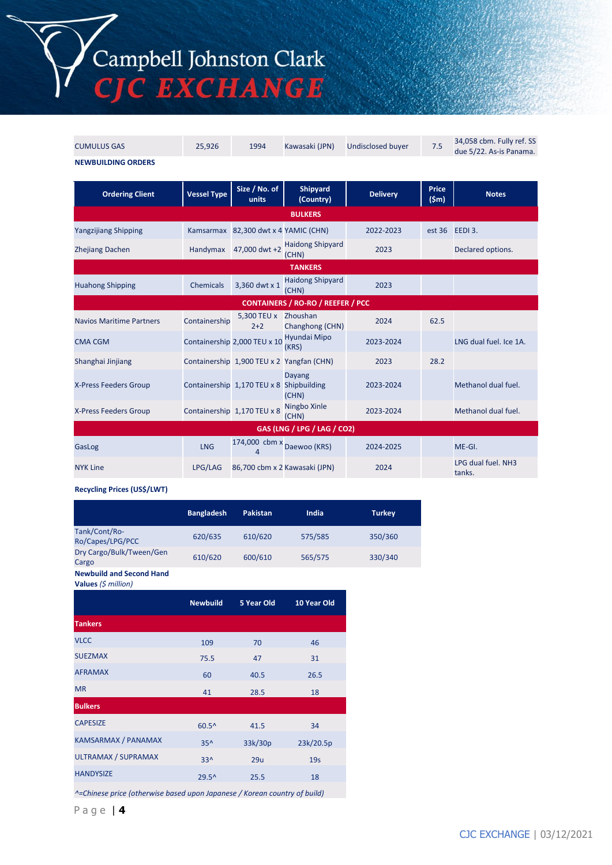Campbell Johnston Clark<br>CJC EXCHANGE

| <b>CUMULUS GAS</b>                       | 25,926             | 1994                                     | Kawasaki (JPN)                            | <b>Undisclosed buyer</b> | 7.5                             | 34,058 cbm. Fully ref. SS<br>due 5/22. As-is Panama. |  |
|------------------------------------------|--------------------|------------------------------------------|-------------------------------------------|--------------------------|---------------------------------|------------------------------------------------------|--|
| <b>NEWBUILDING ORDERS</b>                |                    |                                          |                                           |                          |                                 |                                                      |  |
| <b>Ordering Client</b>                   | <b>Vessel Type</b> | Size / No. of<br>units                   | <b>Shipyard</b><br>(Country)              | <b>Delivery</b>          | <b>Price</b><br>$(\mathsf{5m})$ | <b>Notes</b>                                         |  |
|                                          |                    |                                          | <b>BULKERS</b>                            |                          |                                 |                                                      |  |
| <b>Yangzijiang Shipping</b>              |                    | Kamsarmax 82,300 dwt x 4 YAMIC (CHN)     |                                           | 2022-2023                |                                 | est 36 EEDI 3.                                       |  |
| <b>Zhejiang Dachen</b>                   | Handymax           | 47,000 dwt +2                            | <b>Haidong Shipyard</b><br>(CHN)          | 2023                     |                                 | Declared options.                                    |  |
| <b>TANKERS</b>                           |                    |                                          |                                           |                          |                                 |                                                      |  |
| <b>Huahong Shipping</b>                  | Chemicals          | 3,360 dwt x 1                            | <b>Haidong Shipyard</b><br>(CHN)          | 2023                     |                                 |                                                      |  |
| <b>CONTAINERS / RO-RO / REEFER / PCC</b> |                    |                                          |                                           |                          |                                 |                                                      |  |
| <b>Navios Maritime Partners</b>          | Containership      | 5,300 TEU x<br>$2+2$                     | Zhoushan<br>Changhong (CHN)               | 2024                     | 62.5                            |                                                      |  |
| <b>CMA CGM</b>                           |                    | Containership 2,000 TEU x 10             | Hyundai Mipo<br>(KRS)                     | 2023-2024                |                                 | LNG dual fuel, Ice 1A.                               |  |
| Shanghai Jinjiang                        |                    |                                          | Containership 1,900 TEU x 2 Yangfan (CHN) | 2023                     | 28.2                            |                                                      |  |
| X-Press Feeders Group                    |                    | Containership 1,170 TEU x 8 Shipbuilding | <b>Dayang</b><br>(CHN)                    | 2023-2024                |                                 | Methanol dual fuel.                                  |  |
| X-Press Feeders Group                    |                    | Containership 1,170 TEU x 8              | Ningbo Xinle<br>(CHN)                     | 2023-2024                |                                 | Methanol dual fuel.                                  |  |
| GAS (LNG / LPG / LAG / CO2)              |                    |                                          |                                           |                          |                                 |                                                      |  |
| GasLog                                   | <b>LNG</b>         | 174,000 cbm x<br>$\Delta$                | Daewoo (KRS)                              | 2024-2025                |                                 | ME-GI.                                               |  |
| <b>NYK Line</b>                          | LPG/LAG            |                                          | 86,700 cbm x 2 Kawasaki (JPN)             | 2024                     |                                 | LPG dual fuel. NH3<br>tanks.                         |  |

#### **Recycling Prices (US\$/LWT)**

|                                   | <b>Bangladesh</b> | <b>Pakistan</b> | India   | <b>Turkey</b> |
|-----------------------------------|-------------------|-----------------|---------|---------------|
| Tank/Cont/Ro-<br>Ro/Capes/LPG/PCC | 620/635           | 610/620         | 575/585 | 350/360       |
| Dry Cargo/Bulk/Tween/Gen<br>Cargo | 610/620           | 600/610         | 565/575 | 330/340       |
| <b>Newbuild and Second Hand</b>   |                   |                 |         |               |

**Values** *(\$ million)*

| 46              |
|-----------------|
| 31              |
| 26.5            |
| 18              |
|                 |
| 34              |
| 23k/20.5p       |
| 19 <sub>S</sub> |
| 18              |
|                 |

*^=Chinese price (otherwise based upon Japanese / Korean country of build)*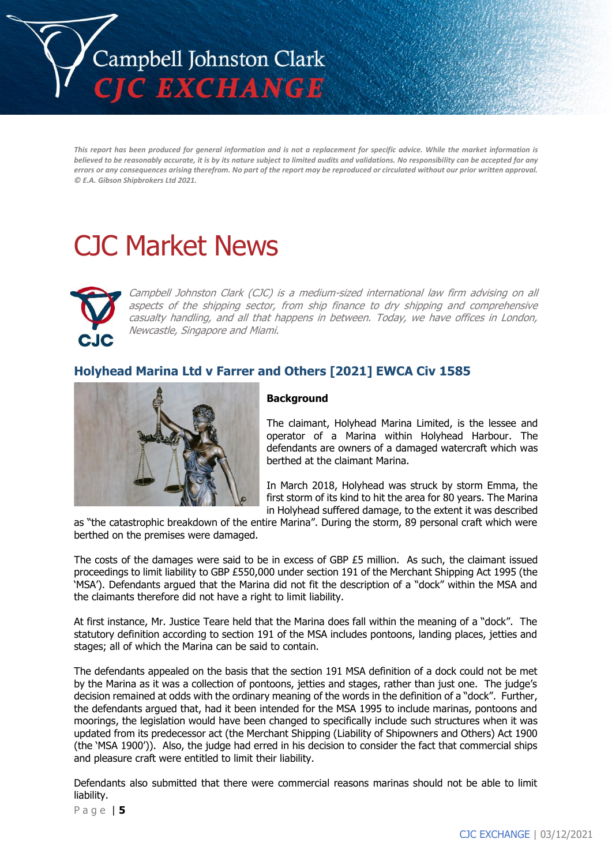

This report has been produced for general information and is not a replacement for specific advice. While the market information is believed to be reasonably accurate, it is by its nature subject to limited audits and validations. No responsibility can be accepted for any errors or any consequences arising therefrom. No part of the report may be reproduced or circulated without our prior written approval. *© E.A. Gibson Shipbrokers Ltd 2021.*

# CJC Market News



Campbell Johnston Clark (CJC) is a medium-sized international law firm advising on all aspects of the shipping sector, from ship finance to dry shipping and comprehensive casualty handling, and all that happens in between. Today, we have offices in London, Newcastle, Singapore and Miami.

# **Holyhead Marina Ltd v Farrer and Others [2021] EWCA Civ 1585**



## **Background**

The claimant, Holyhead Marina Limited, is the lessee and operator of a Marina within Holyhead Harbour. The defendants are owners of a damaged watercraft which was berthed at the claimant Marina.

In March 2018, Holyhead was struck by storm Emma, the first storm of its kind to hit the area for 80 years. The Marina in Holyhead suffered damage, to the extent it was described

as "the catastrophic breakdown of the entire Marina". During the storm, 89 personal craft which were berthed on the premises were damaged.

The costs of the damages were said to be in excess of GBP £5 million. As such, the claimant issued proceedings to limit liability to GBP £550,000 under section 191 of the Merchant Shipping Act 1995 (the 'MSA'). Defendants argued that the Marina did not fit the description of a "dock" within the MSA and the claimants therefore did not have a right to limit liability.

At first instance, Mr. Justice Teare held that the Marina does fall within the meaning of a "dock". The statutory definition according to section 191 of the MSA includes pontoons, landing places, jetties and stages; all of which the Marina can be said to contain.

The defendants appealed on the basis that the section 191 MSA definition of a dock could not be met by the Marina as it was a collection of pontoons, jetties and stages, rather than just one. The judge's decision remained at odds with the ordinary meaning of the words in the definition of a "dock". Further, the defendants argued that, had it been intended for the MSA 1995 to include marinas, pontoons and moorings, the legislation would have been changed to specifically include such structures when it was updated from its predecessor act (the Merchant Shipping (Liability of Shipowners and Others) Act 1900 (the 'MSA 1900')). Also, the judge had erred in his decision to consider the fact that commercial ships and pleasure craft were entitled to limit their liability.

Defendants also submitted that there were commercial reasons marinas should not be able to limit liability.

P a g e | **5**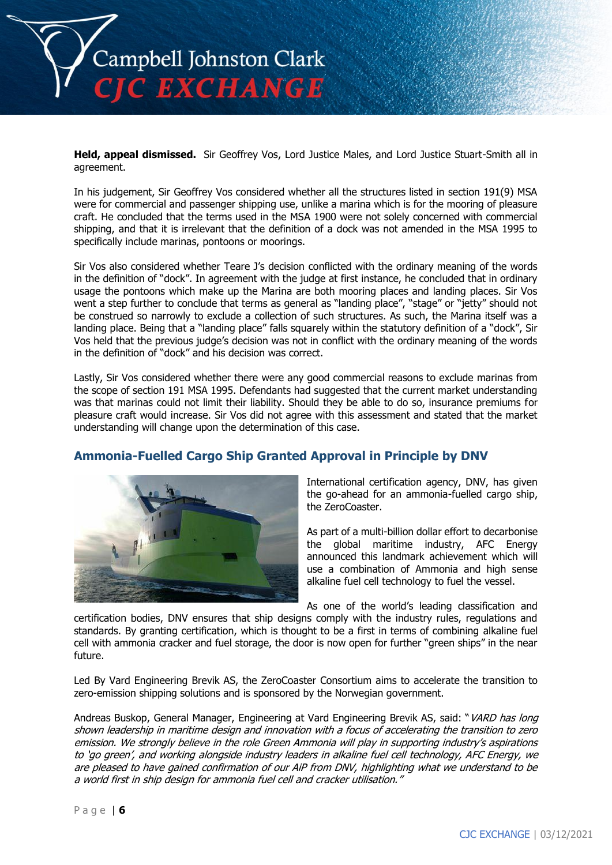

**Held, appeal dismissed.** Sir Geoffrey Vos, Lord Justice Males, and Lord Justice Stuart-Smith all in agreement.

In his judgement, Sir Geoffrey Vos considered whether all the structures listed in section 191(9) MSA were for commercial and passenger shipping use, unlike a marina which is for the mooring of pleasure craft. He concluded that the terms used in the MSA 1900 were not solely concerned with commercial shipping, and that it is irrelevant that the definition of a dock was not amended in the MSA 1995 to specifically include marinas, pontoons or moorings.

Sir Vos also considered whether Teare J's decision conflicted with the ordinary meaning of the words in the definition of "dock". In agreement with the judge at first instance, he concluded that in ordinary usage the pontoons which make up the Marina are both mooring places and landing places. Sir Vos went a step further to conclude that terms as general as "landing place", "stage" or "jetty" should not be construed so narrowly to exclude a collection of such structures. As such, the Marina itself was a landing place. Being that a "landing place" falls squarely within the statutory definition of a "dock", Sir Vos held that the previous judge's decision was not in conflict with the ordinary meaning of the words in the definition of "dock" and his decision was correct.

Lastly, Sir Vos considered whether there were any good commercial reasons to exclude marinas from the scope of section 191 MSA 1995. Defendants had suggested that the current market understanding was that marinas could not limit their liability. Should they be able to do so, insurance premiums for pleasure craft would increase. Sir Vos did not agree with this assessment and stated that the market understanding will change upon the determination of this case.

## **Ammonia-Fuelled Cargo Ship Granted Approval in Principle by DNV**



International certification agency, DNV, has given the go-ahead for an ammonia-fuelled cargo ship, the ZeroCoaster.

As part of a multi-billion dollar effort to decarbonise the global maritime industry, AFC Energy announced this landmark achievement which will use a combination of Ammonia and high sense alkaline fuel cell technology to fuel the vessel.

As one of the world's leading classification and

certification bodies, DNV ensures that ship designs comply with the industry rules, regulations and standards. By granting certification, which is thought to be a first in terms of combining alkaline fuel cell with ammonia cracker and fuel storage, the door is now open for further "green ships" in the near future.

Led By Vard Engineering Brevik AS, the ZeroCoaster Consortium aims to accelerate the transition to zero-emission shipping solutions and is sponsored by the Norwegian government.

Andreas Buskop, General Manager, Engineering at Vard Engineering Brevik AS, said: "VARD has long shown leadership in maritime design and innovation with a focus of accelerating the transition to zero emission. We strongly believe in the role Green Ammonia will play in supporting industry's aspirations to 'go green', and working alongside industry leaders in alkaline fuel cell technology, AFC Energy, we are pleased to have gained confirmation of our AiP from DNV, highlighting what we understand to be a world first in ship design for ammonia fuel cell and cracker utilisation."